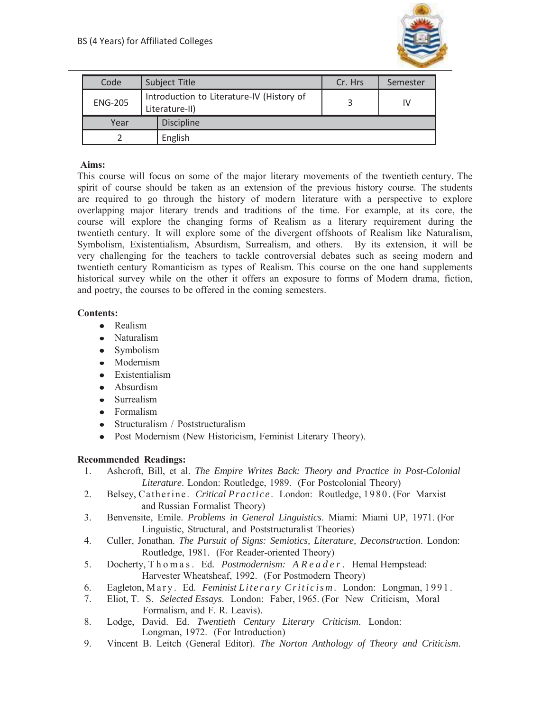

| Code           | Subject Title                                               | Cr. Hrs | Semester |
|----------------|-------------------------------------------------------------|---------|----------|
| <b>ENG-205</b> | Introduction to Literature-IV (History of<br>Literature-II) |         | IV       |
| Year           | <b>Discipline</b>                                           |         |          |
|                | English                                                     |         |          |

## **Aims:**

This course will focus on some of the major literary movements of the twentieth century. The spirit of course should be taken as an extension of the previous history course. The students are required to go through the history of modern literature with a perspective to explore overlapping major literary trends and traditions of the time. For example, at its core, the course will explore the changing forms of Realism as a literary requirement during the twentieth century. It will explore some of the divergent offshoots of Realism like Naturalism, Symbolism, Existentialism, Absurdism, Surrealism, and others. By its extension, it will be very challenging for the teachers to tackle controversial debates such as seeing modern and twentieth century Romanticism as types of Realism. This course on the one hand supplements historical survey while on the other it offers an exposure to forms of Modern drama, fiction, and poetry, the courses to be offered in the coming semesters.

## **Contents:**

- Realism
- Naturalism
- Symbolism
- Modernism
- Existentialism
- Absurdism
- Surrealism  $\bullet$
- Formalism
- Structuralism / Poststructuralism
- Post Modernism (New Historicism, Feminist Literary Theory).  $\bullet$

## **Recommended Readings:**

- 1. Ashcroft, Bill, et al. *The Empire Writes Back: Theory and Practice in Post-Colonial Literature*. London: Routledge, 1989. (For Postcolonial Theory)
- 2. Belsey, Catherine. *Critical Practice* . London: Routledge, 1980. (For Marxist and Russian Formalist Theory)
- 3. Benvensite, Emile. *Problems in General Linguistics*. Miami: Miami UP, 1971. (For Linguistic, Structural, and Poststructuralist Theories)
- 4. Culler, Jonathan. *The Pursuit of Signs: Semiotics, Literature, Deconstruction*. London: Routledge, 1981. (For Reader-oriented Theory)
- 5. Docherty, T h o m a s . Ed*. Postmodernism: A R e a d e r* . Hemal Hempstead: Harvester Wheatsheaf, 1992. (For Postmodern Theory)
- 6. Eagleton, Mary. Ed. *Feminist Literary Criticism*. London: Longman, 1991.
- 7. Eliot, T. S. *Selected Essays*. London: Faber, 1965. (For New Criticism, Moral Formalism, and F. R. Leavis).
- 8. Lodge, David. Ed. *Twentieth Century Literary Criticism*. London: Longman, 1972. (For Introduction)
- 9. Vincent B. Leitch (General Editor). *The Norton Anthology of Theory and Criticism*.